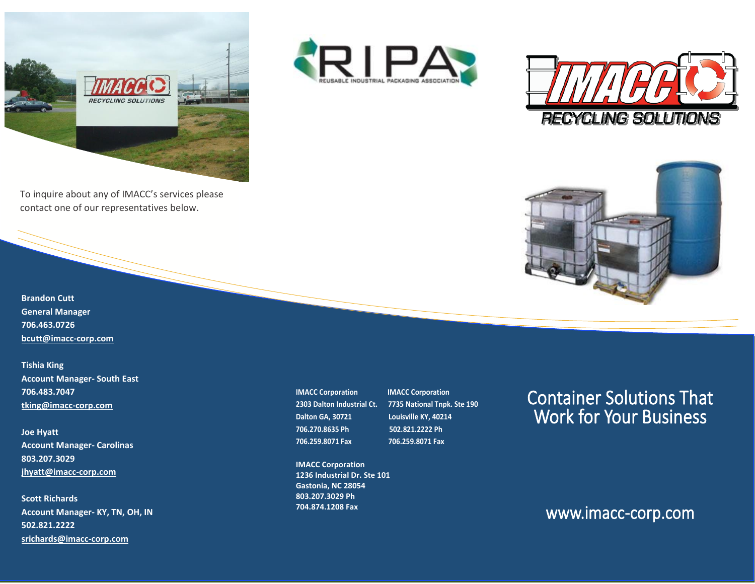

To inquire about any of IMACC's services please contact one of our representatives below.







**Brandon Cutt General Manager 706.463.0726 [bcutt@imacc-corp.com](mailto:bcutt@imacc-corp.com)** 

**Tishia King Account Manager- South East 706.483.7047 [tking@imacc-corp.com](mailto:tking@imacc-corp.com)**

**Joe Hyatt Account Manager- Carolinas 803.207.3029 [jhyatt@imacc-corp.com](mailto:jhyatt@imacc-corp.com)**

**Scott Richards Account Manager- KY, TN, OH, IN 502.821.2222 [srichards@imacc-corp.com](mailto:srichards@imacc-corp.com)** 

**IMACC Corporation IMACC Corporation Dalton GA, 30721 Louisville KY, 40214 706.270.8635 Ph 502.821.2222 Ph 706.259.8071 Fax 706.259.8071 Fax**

**IMACC Corporation 1236 Industrial Dr. Ste 101 Gastonia, NC 28054 803.207.3029 Ph 704.874.1208 Fax**

**2303 Dalton Industrial Ct. 7735 National Tnpk. Ste 190**

## Container Solutions That Work for Your Business

### www.imacc-corp.com